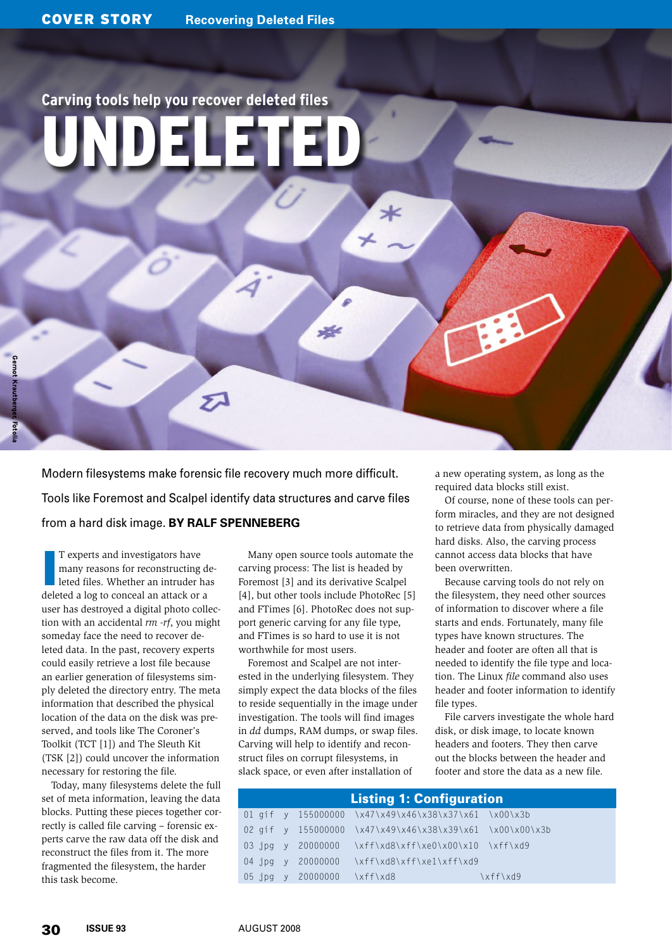### **Carving tools help you recover deleted files** Undeleted

Modern filesystems make forensic file recovery much more difficult. Tools like Foremost and Scalpel identify data structures and carve files from a hard disk image. **By Ralf Spenneberg**

 $\mathcal{Z}$ 

I<br>I<br>I<br>I<br>I T experts and investigators have many reasons for reconstructing deleted files. Whether an intruder has deleted a log to conceal an attack or a user has destroyed a digital photo collection with an accidental *rm ‑rf*, you might someday face the need to recover deleted data. In the past, recovery experts could easily retrieve a lost file because an earlier generation of filesystems simply deleted the directory entry. The meta information that described the physical location of the data on the disk was preserved, and tools like The Coroner's Toolkit (TCT [1]) and The Sleuth Kit (TSK [2]) could uncover the information necessary for restoring the file.

Today, many filesystems delete the full set of meta information, leaving the data blocks. Putting these pieces together correctly is called file carving – forensic experts carve the raw data off the disk and reconstruct the files from it. The more fragmented the filesystem, the harder this task become.

Many open source tools automate the carving process: The list is headed by Foremost [3] and its derivative Scalpel [4], but other tools include PhotoRec [5] and FTimes [6]. PhotoRec does not support generic carving for any file type, and FTimes is so hard to use it is not worthwhile for most users.

**Note** 

Foremost and Scalpel are not interested in the underlying filesystem. They simply expect the data blocks of the files to reside sequentially in the image under investigation. The tools will find images in *dd* dumps, RAM dumps, or swap files. Carving will help to identify and reconstruct files on corrupt filesystems, in slack space, or even after installation of

a new operating system, as long as the required data blocks still exist.

Of course, none of these tools can perform miracles, and they are not designed to retrieve data from physically damaged hard disks. Also, the carving process cannot access data blocks that have been overwritten.

Because carving tools do not rely on the filesystem, they need other sources of information to discover where a file starts and ends. Fortunately, many file types have known structures. The header and footer are often all that is needed to identify the file type and location. The Linux *file* command also uses header and footer information to identify file types.

File carvers investigate the whole hard disk, or disk image, to locate known headers and footers. They then carve out the blocks between the header and footer and store the data as a new file.

| <b>Listing 1: Configuration</b> |  |  |                            |                                                          |          |  |
|---------------------------------|--|--|----------------------------|----------------------------------------------------------|----------|--|
|                                 |  |  |                            | 01 gif y 155000000 \x47\x49\x46\x38\x37\x61 \x00\x3b     |          |  |
|                                 |  |  |                            | 02 gif y 155000000 \x47\x49\x46\x38\x39\x61 \x00\x00\x3b |          |  |
|                                 |  |  |                            | 03.jpg y 20000000 \xff\xd8\xff\xe0\x00\x10 \xff\xd9      |          |  |
|                                 |  |  |                            | 04 jpg y 20000000 \xff\xd8\xff\xe1\xff\xd9               |          |  |
|                                 |  |  | 05 jpg y 20000000 \xff\xd8 |                                                          | \xff\xd9 |  |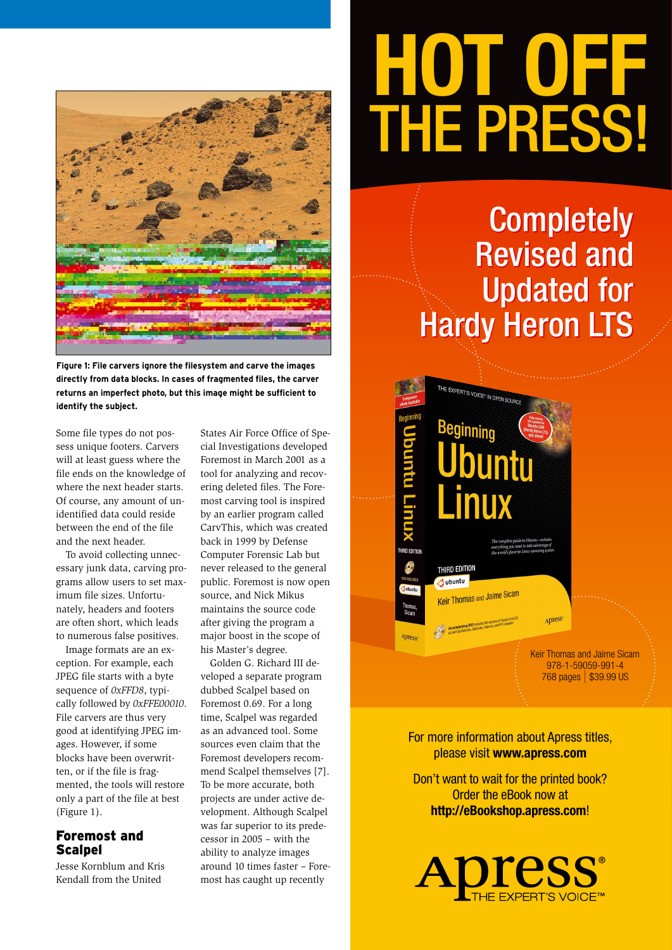

**Figure 1: File carvers ignore the filesystem and carve the images directly from data blocks. In cases of fragmented files, the carver returns an imperfect photo, but this image might be sufficient to identify the subject.**

Some file types do not possess unique footers. Carvers will at least guess where the file ends on the knowledge of where the next header starts. Of course, any amount of unidentified data could reside between the end of the file and the next header.

To avoid collecting unnecessary junk data, carving programs allow users to set maximum file sizes. Unfortunately, headers and footers are often short, which leads to numerous false positives.

Image formats are an exception. For example, each JPEG file starts with a byte sequence of *0xFFD8*, typically followed by *0xFFE00010*. File carvers are thus very good at identifying JPEG images. However, if some blocks have been overwritten, or if the file is fragmented, the tools will restore only a part of the file at best (Figure 1).

#### Foremost and **Scalpel**

Jesse Kornblum and Kris Kendall from the United

States Air Force Office of Special Investigations developed Foremost in March 2001 as a tool for analyzing and recovering deleted files. The Foremost carving tool is inspired by an earlier program called CarvThis, which was created back in 1999 by Defense Computer Forensic Lab but never released to the general public. Foremost is now open source, and Nick Mikus maintains the source code after giving the program a major boost in the scope of his Master's degree.

Golden G. Richard III developed a separate program dubbed Scalpel based on Foremost 0.69. For a long time, Scalpel was regarded as an advanced tool. Some sources even claim that the Foremost developers recommend Scalpel themselves [7]. To be more accurate, both projects are under active development. Although Scalpel was far superior to its predecessor in 2005 – with the ability to analyze images around 10 times faster – Foremost has caught up recently

# **HOT OFF**  THE PRESS!

### Completely Completely Revised and Revised and Updated for Updated for Hardy Heron LTS Hardy Heron LTS

THE EXPERT'S VOICE IN OPEN SOURCE

Juntu

Beginning

THIRD EDITION **Jubuntu** 

Apress

Keir Thomas and Jaime Sicam

Keir Thomas and Jaime Sicam 978-1-59059-991-4 768 pages | \$39.99 US

Apress

For more information about Apress titles, please visit **www.apress.com**

Don't want to wait for the printed book? Order the eBook now at **http://eBookshop.apress.com**!

oress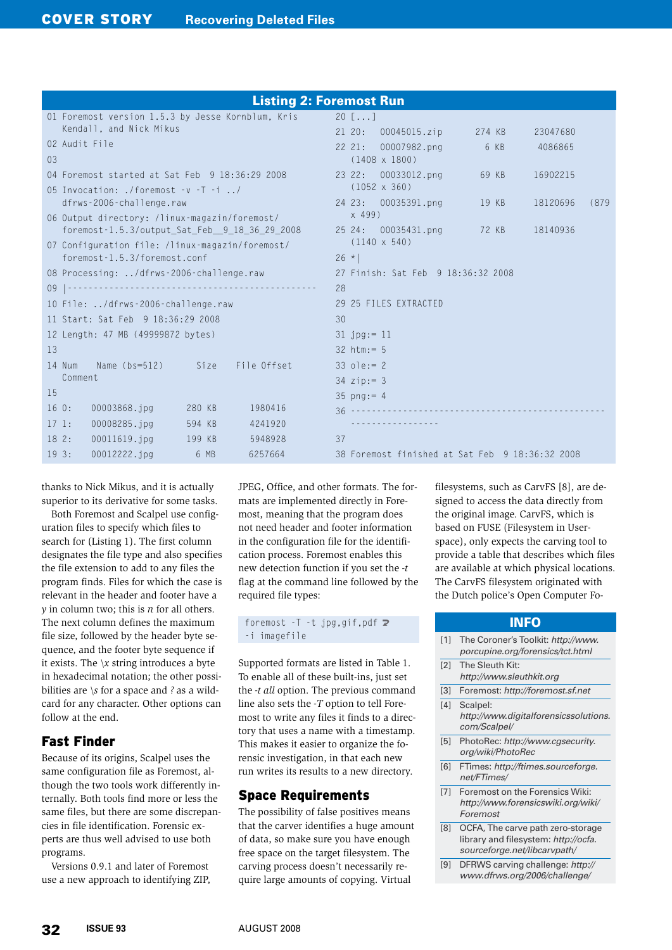|                |                                                                | <b>Listing 2: Foremost Run</b>                  |      |
|----------------|----------------------------------------------------------------|-------------------------------------------------|------|
|                | 01 Foremost version 1.5.3 by Jesse Kornblum, Kris              | 20 $\lceil \ldots \rceil$                       |      |
|                | Kendall, and Nick Mikus                                        | $21\,20:$<br>00045015.zip<br>274 KB<br>23047680 |      |
|                | 02 Audit File                                                  | 00007982.png<br>6 KB<br>$22\;21:$<br>4086865    |      |
| 0 <sub>3</sub> |                                                                | $(1408 \times 1800)$                            |      |
|                | 04 Foremost started at Sat Feb 9 18:36:29 2008                 | 23 22: 00033012.png<br>69 KB<br>16902215        |      |
|                | 05 Invocation: ./foremost $-v$ $\overline{1}$ $\overline{1}$ / | $(1052 \times 360)$                             |      |
|                | dfrws-2006-challenge.raw                                       | 24 23: 00035391.png 19 KB<br>18120696           | (879 |
|                | 06 Output directory: /linux-magazin/foremost/                  | x 499                                           |      |
|                | foremost-1.5.3/output_Sat_Feb_9_18_36_29_2008                  | 25 24: 00035431.png 72 KB<br>18140936           |      |
|                | 07 Configuration file: /linux-magazin/foremost/                | $(1140 \times 540)$                             |      |
|                | foremost-1.5.3/foremost.conf                                   | $26 *$                                          |      |
|                | 08 Processing: /dfrws-2006-challenge.raw                       | 27 Finish: Sat Feb 9 18:36:32 2008              |      |
|                |                                                                | 28                                              |      |
|                | 10 File: /dfrws-2006-challenge.raw                             | 29 25 FILES EXTRACTED                           |      |
|                | 11 Start: Sat Feb 9 18:36:29 2008                              | 30                                              |      |
|                | 12 Length: 47 MB (49999872 bytes)                              | $31$ jpg:= 11                                   |      |
| 13             |                                                                | $32 \text{ htm} := 5$                           |      |
|                | 14 Num<br>Name (bs=512) Size File Offset                       | $33 \text{ o}$ le: = 2                          |      |
|                | Comment                                                        | $34$ zip: = 3                                   |      |
| 15             |                                                                | $35 \text{ p} \text{n} \text{g} := 4$           |      |
| 160:           | 00003868.jpg<br>280 KB<br>1980416                              |                                                 |      |
| 171:           | 00008285.jpg<br>594 KB<br>4241920                              |                                                 |      |
| 182:           | $00011619.$ jpq<br>199 KB<br>5948928                           | 37                                              |      |
| 193:           | 00012222.jpg<br>6 MB<br>6257664                                | 38 Foremost finished at Sat Feb 9 18:36:32 2008 |      |
|                |                                                                |                                                 |      |

thanks to Nick Mikus, and it is actually superior to its derivative for some tasks.

Both Foremost and Scalpel use configuration files to specify which files to search for (Listing 1). The first column designates the file type and also specifies the file extension to add to any files the program finds. Files for which the case is relevant in the header and footer have a *y* in column two; this is *n* for all others. The next column defines the maximum file size, followed by the header byte sequence, and the footer byte sequence if it exists. The *\x* string introduces a byte in hexadecimal notation; the other possibilities are *\s* for a space and *?* as a wildcard for any character. Other options can follow at the end.

#### Fast Finder

Because of its origins, Scalpel uses the same configuration file as Foremost, although the two tools work differently internally. Both tools find more or less the same files, but there are some discrepancies in file identification. Forensic experts are thus well advised to use both programs.

Versions 0.9.1 and later of Foremost use a new approach to identifying ZIP, JPEG, Office, and other formats. The formats are implemented directly in Foremost, meaning that the program does not need header and footer information in the configuration file for the identification process. Foremost enables this new detection function if you set the *‑t* flag at the command line followed by the required file types:

foremost  $-I -t$  jpg,gif,pdf  $\triangleright$ ‑i imagefile

Supported formats are listed in Table 1. To enable all of these built-ins, just set the *‑t all* option. The previous command line also sets the *‑T* option to tell Foremost to write any files it finds to a directory that uses a name with a timestamp. This makes it easier to organize the forensic investigation, in that each new run writes its results to a new directory.

#### Space Requirements

The possibility of false positives means that the carver identifies a huge amount of data, so make sure you have enough free space on the target filesystem. The carving process doesn't necessarily require large amounts of copying. Virtual

filesystems, such as CarvFS [8], are designed to access the data directly from the original image. CarvFS, which is based on FUSE (Filesystem in Userspace), only expects the carving tool to provide a table that describes which files are available at which physical locations. The CarvFS filesystem originated with the Dutch police's Open Computer Fo-

| <b>INFO</b> |                                                                                                           |  |  |  |
|-------------|-----------------------------------------------------------------------------------------------------------|--|--|--|
| [1]         | The Coroner's Toolkit: http://www.<br>porcupine.org/forensics/tct.html                                    |  |  |  |
| [2]         | The Sleuth Kit:<br>http://www.sleuthkit.org                                                               |  |  |  |
| [3]         | Foremost: http://foremost.sf.net                                                                          |  |  |  |
| [4]         | Scalpel:<br>http://www.digitalforensicssolutions.<br>com/Scalpel/                                         |  |  |  |
| [5]         | PhotoRec: http://www.cgsecurity.<br>org/wiki/PhotoRec                                                     |  |  |  |
| [6]         | FTimes: http://ftimes.sourceforge.<br>net/FTimes/                                                         |  |  |  |
| [7]         | Foremost on the Forensics Wiki:<br>http://www.forensicswiki.org/wiki/<br>Foremost                         |  |  |  |
| [8]         | OCFA, The carve path zero-storage<br>library and filesystem: http://ocfa.<br>sourceforge.net/libcarvpath/ |  |  |  |
| [9]         | DFRWS carving challenge: http://<br>www.dfrws.org/2006/challenge/                                         |  |  |  |